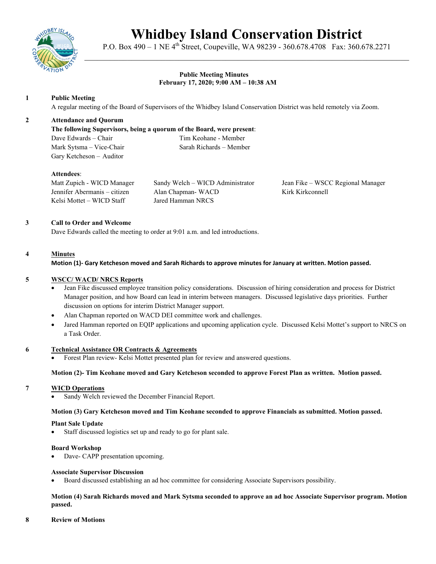

# **Whidbey Island Conservation District**

P.O. Box 490 – 1 NE 4<sup>th</sup> Street, Coupeville, WA 98239 - 360.678.4708 Fax: 360.678.2271 \_\_\_\_\_\_\_\_\_\_\_\_\_\_\_\_\_\_\_\_\_\_\_\_\_\_\_\_\_\_\_\_\_\_\_\_\_\_\_\_\_\_\_\_\_\_\_\_\_\_\_\_\_\_\_\_\_\_\_\_\_\_\_\_\_\_\_\_\_\_\_\_\_\_\_\_

# **Public Meeting Minutes February 17, 2020; 9:00 AM – 10:38 AM**

# **1 Public Meeting**

A regular meeting of the Board of Supervisors of the Whidbey Island Conservation District was held remotely via Zoom.

## **2 Attendance and Quorum**

## **The following Supervisors, being a quorum of the Board, were present**:

Dave Edwards – Chair Tim Keohane - Member Mark Sytsma – Vice-Chair Sarah Richards – Member Gary Ketcheson – Auditor

## **Attendees**:

Matt Zupich - WICD Manager Sandy Welch – WICD Administrator Jean Fike – WSCC Regional Manager Jennifer Abermanis – citizen Alan Chapman- WACD Kirk Kirkconnell Kelsi Mottet – WICD Staff Jared Hamman NRCS

## **3 Call to Order and Welcome**

Dave Edwards called the meeting to order at 9:01 a.m. and led introductions.

# **4 Minutes**

**Motion (1)- Gary Ketcheson moved and Sarah Richards to approve minutes for January at written. Motion passed.**

## **5 WSCC/ WACD/ NRCS Reports**

- Jean Fike discussed employee transition policy considerations. Discussion of hiring consideration and process for District Manager position, and how Board can lead in interim between managers. Discussed legislative days priorities. Further discussion on options for interim District Manager support.
- Alan Chapman reported on WACD DEI committee work and challenges.
- Jared Hamman reported on EQIP applications and upcoming application cycle. Discussed Kelsi Mottet's support to NRCS on a Task Order.

#### **6 Technical Assistance OR Contracts & Agreements**

• Forest Plan review- Kelsi Mottet presented plan for review and answered questions.

## **Motion (2)- Tim Keohane moved and Gary Ketcheson seconded to approve Forest Plan as written. Motion passed.**

## **7 WICD Operations**

Sandy Welch reviewed the December Financial Report.

## **Motion (3) Gary Ketcheson moved and Tim Keohane seconded to approve Financials as submitted. Motion passed.**

## **Plant Sale Update**

• Staff discussed logistics set up and ready to go for plant sale.

#### **Board Workshop**

Dave- CAPP presentation upcoming.

#### **Associate Supervisor Discussion**

• Board discussed establishing an ad hoc committee for considering Associate Supervisors possibility.

## **Motion (4) Sarah Richards moved and Mark Sytsma seconded to approve an ad hoc Associate Supervisor program. Motion passed.**

#### **8 Review of Motions**